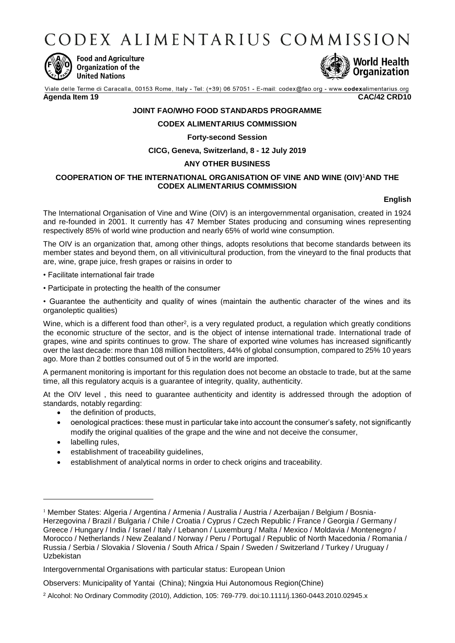CODEX ALIMENTARIUS COMMISSION



**Food and Agriculture** Organization of the **United Nations** 



Viale delle Terme di Caracalla, 00153 Rome, Italy - Tel: (+39) 06 57051 - E-mail: codex@fao.org - www.codexalimentarius.org **Agenda Item 19 CAC/42 CRD10**

# **JOINT FAO/WHO FOOD STANDARDS PROGRAMME**

#### **CODEX ALIMENTARIUS COMMISSION**

#### **Forty-second Session**

**CICG, Geneva, Switzerland, 8 - 12 July 2019**

## **ANY OTHER BUSINESS**

## **COOPERATION OF THE INTERNATIONAL ORGANISATION OF VINE AND WINE (OIV)** <sup>1</sup>**AND THE CODEX ALIMENTARIUS COMMISSION**

## **English**

The International Organisation of Vine and Wine (OIV) is an intergovernmental organisation, created in 1924 and re-founded in 2001. It currently has 47 Member States producing and consuming wines representing respectively 85% of world wine production and nearly 65% of world wine consumption.

The OIV is an organization that, among other things, adopts resolutions that become standards between its member states and beyond them, on all vitivinicultural production, from the vineyard to the final products that are, wine, grape juice, fresh grapes or raisins in order to

• Facilitate international fair trade

• Participate in protecting the health of the consumer

• Guarantee the authenticity and quality of wines (maintain the authentic character of the wines and its organoleptic qualities)

Wine, which is a different food than other<sup>2</sup>, is a very regulated product, a regulation which greatly conditions the economic structure of the sector, and is the object of intense international trade. International trade of grapes, wine and spirits continues to grow. The share of exported wine volumes has increased significantly over the last decade: more than 108 million hectoliters, 44% of global consumption, compared to 25% 10 years ago. More than 2 bottles consumed out of 5 in the world are imported.

A permanent monitoring is important for this regulation does not become an obstacle to trade, but at the same time, all this regulatory acquis is a guarantee of integrity, quality, authenticity.

At the OIV level , this need to guarantee authenticity and identity is addressed through the adoption of standards, notably regarding:

- the definition of products,
- oenological practices: these must in particular take into account the consumer's safety, not significantly modify the original qualities of the grape and the wine and not deceive the consumer,
- labelling rules,

1

- establishment of traceability guidelines,
- establishment of analytical norms in order to check origins and traceability.

<sup>1</sup> Member States: Algeria / Argentina / Armenia / Australia / Austria / Azerbaijan / Belgium / Bosnia-Herzegovina / Brazil / Bulgaria / Chile / Croatia / Cyprus / Czech Republic / France / Georgia / Germany / Greece / Hungary / India / Israel / Italy / Lebanon / Luxemburg / Malta / Mexico / Moldavia / Montenegro / Morocco / Netherlands / New Zealand / Norway / Peru / Portugal / Republic of North Macedonia / Romania / Russia / Serbia / Slovakia / Slovenia / South Africa / Spain / Sweden / Switzerland / Turkey / Uruguay / Uzbekistan

Intergovernmental Organisations with particular status: European Union

Observers: Municipality of Yantai (China); Ningxia Hui Autonomous Region(Chine)

<sup>2</sup> Alcohol: No Ordinary Commodity (2010), Addiction, 105: 769-779. doi:10.1111/j.1360-0443.2010.02945.x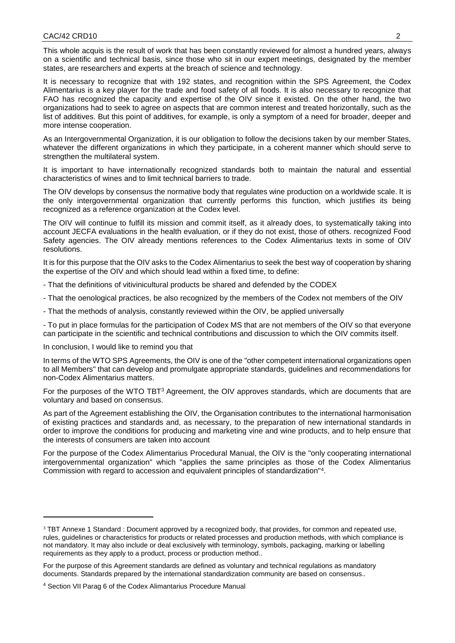This whole acquis is the result of work that has been constantly reviewed for almost a hundred years, always on a scientific and technical basis, since those who sit in our expert meetings, designated by the member states, are researchers and experts at the breach of science and technology.

It is necessary to recognize that with 192 states, and recognition within the SPS Agreement, the Codex Alimentarius is a key player for the trade and food safety of all foods. It is also necessary to recognize that FAO has recognized the capacity and expertise of the OIV since it existed. On the other hand, the two organizations had to seek to agree on aspects that are common interest and treated horizontally, such as the list of additives. But this point of additives, for example, is only a symptom of a need for broader, deeper and more intense cooperation.

As an Intergovernmental Organization, it is our obligation to follow the decisions taken by our member States, whatever the different organizations in which they participate, in a coherent manner which should serve to strengthen the multilateral system.

It is important to have internationally recognized standards both to maintain the natural and essential characteristics of wines and to limit technical barriers to trade.

The OIV develops by consensus the normative body that regulates wine production on a worldwide scale. It is the only intergovernmental organization that currently performs this function, which justifies its being recognized as a reference organization at the Codex level.

The OIV will continue to fulfill its mission and commit itself, as it already does, to systematically taking into account JECFA evaluations in the health evaluation, or if they do not exist, those of others. recognized Food Safety agencies. The OIV already mentions references to the Codex Alimentarius texts in some of OIV resolutions.

It is for this purpose that the OIV asks to the Codex Alimentarius to seek the best way of cooperation by sharing the expertise of the OIV and which should lead within a fixed time, to define:

- That the definitions of vitivinicultural products be shared and defended by the CODEX

- That the oenological practices, be also recognized by the members of the Codex not members of the OIV

- That the methods of analysis, constantly reviewed within the OIV, be applied universally

- To put in place formulas for the participation of Codex MS that are not members of the OIV so that everyone can participate in the scientific and technical contributions and discussion to which the OIV commits itself.

In conclusion, I would like to remind you that

1

In terms of the WTO SPS Agreements, the OIV is one of the "other competent international organizations open to all Members" that can develop and promulgate appropriate standards, guidelines and recommendations for non-Codex Alimentarius matters.

For the purposes of the WTO TBT<sup>3</sup> Agreement, the OIV approves standards, which are documents that are voluntary and based on consensus.

As part of the Agreement establishing the OIV, the Organisation contributes to the international harmonisation of existing practices and standards and, as necessary, to the preparation of new international standards in order to improve the conditions for producing and marketing vine and wine products, and to help ensure that the interests of consumers are taken into account

For the purpose of the Codex Alimentarius Procedural Manual, the OIV is the "only cooperating international intergovernmental organization" which "applies the same principles as those of the Codex Alimentarius Commission with regard to accession and equivalent principles of standardization"<sup>4</sup> .

<sup>&</sup>lt;sup>3</sup> TBT Annexe 1 Standard : Document approved by a recognized body, that provides, for common and repeated use, rules, guidelines or characteristics for products or related processes and production methods, with which compliance is not mandatory. It may also include or deal exclusively with terminology, symbols, packaging, marking or labelling requirements as they apply to a product, process or production method..

For the purpose of this Agreement standards are defined as voluntary and technical regulations as mandatory documents. Standards prepared by the international standardization community are based on consensus..

<sup>4</sup> Section VII Parag 6 of the Codex Alimantarius Procedure Manual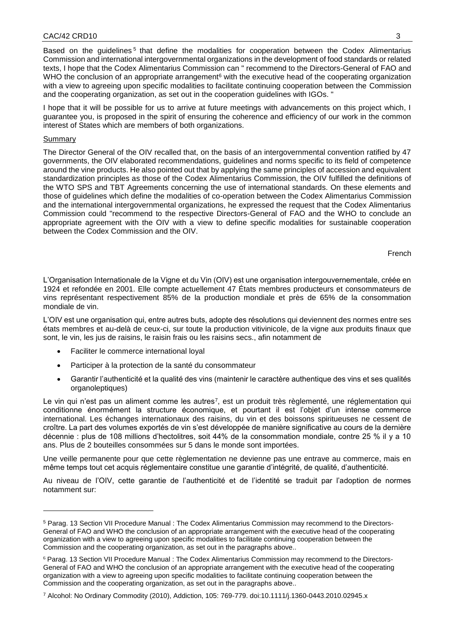Based on the guidelines<sup>5</sup> that define the modalities for cooperation between the Codex Alimentarius Commission and international intergovernmental organizations in the development of food standards or related texts, I hope that the Codex Alimentarius Commission can " recommend to the Directors-General of FAO and WHO the conclusion of an appropriate arrangement $6$  with the executive head of the cooperating organization with a view to agreeing upon specific modalities to facilitate continuing cooperation between the Commission and the cooperating organization, as set out in the cooperation guidelines with IGOs. "

I hope that it will be possible for us to arrive at future meetings with advancements on this project which, I guarantee you, is proposed in the spirit of ensuring the coherence and efficiency of our work in the common interest of States which are members of both organizations.

#### Summary

-

The Director General of the OIV recalled that, on the basis of an intergovernmental convention ratified by 47 governments, the OIV elaborated recommendations, guidelines and norms specific to its field of competence around the vine products. He also pointed out that by applying the same principles of accession and equivalent standardization principles as those of the Codex Alimentarius Commission, the OIV fulfilled the definitions of the WTO SPS and TBT Agreements concerning the use of international standards. On these elements and those of guidelines which define the modalities of co-operation between the Codex Alimentarius Commission and the international intergovernmental organizations, he expressed the request that the Codex Alimentarius Commission could "recommend to the respective Directors-General of FAO and the WHO to conclude an appropriate agreement with the OIV with a view to define specific modalities for sustainable cooperation between the Codex Commission and the OIV.

French

L'Organisation Internationale de la Vigne et du Vin (OIV) est une organisation intergouvernementale, créée en 1924 et refondée en 2001. Elle compte actuellement 47 États membres producteurs et consommateurs de vins représentant respectivement 85% de la production mondiale et près de 65% de la consommation mondiale de vin.

L'OIV est une organisation qui, entre autres buts, adopte des résolutions qui deviennent des normes entre ses états membres et au-delà de ceux-ci, sur toute la production vitivinicole, de la vigne aux produits finaux que sont, le vin, les jus de raisins, le raisin frais ou les raisins secs., afin notamment de

- Faciliter le commerce international loyal
- Participer à la protection de la santé du consommateur
- Garantir l'authenticité et la qualité des vins (maintenir le caractère authentique des vins et ses qualités organoleptiques)

Le vin qui n'est pas un aliment comme les autres<sup>7</sup>, est un produit très règlementé, une réglementation qui conditionne énormément la structure économique, et pourtant il est l'objet d'un intense commerce international. Les échanges internationaux des raisins, du vin et des boissons spiritueuses ne cessent de croître. La part des volumes exportés de vin s'est développée de manière significative au cours de la dernière décennie : plus de 108 millions d'hectolitres, soit 44% de la consommation mondiale, contre 25 % il y a 10 ans. Plus de 2 bouteilles consommées sur 5 dans le monde sont importées.

Une veille permanente pour que cette règlementation ne devienne pas une entrave au commerce, mais en même temps tout cet acquis réglementaire constitue une garantie d'intégrité, de qualité, d'authenticité.

Au niveau de l'OIV, cette garantie de l'authenticité et de l'identité se traduit par l'adoption de normes notamment sur:

<sup>5</sup> Parag. 13 Section VII Procedure Manual : The Codex Alimentarius Commission may recommend to the Directors-General of FAO and WHO the conclusion of an appropriate arrangement with the executive head of the cooperating organization with a view to agreeing upon specific modalities to facilitate continuing cooperation between the Commission and the cooperating organization, as set out in the paragraphs above..

<sup>6</sup> Parag. 13 Section VII Procedure Manual : The Codex Alimentarius Commission may recommend to the Directors-General of FAO and WHO the conclusion of an appropriate arrangement with the executive head of the cooperating organization with a view to agreeing upon specific modalities to facilitate continuing cooperation between the Commission and the cooperating organization, as set out in the paragraphs above..

<sup>7</sup> Alcohol: No Ordinary Commodity (2010), Addiction, 105: 769-779. doi:10.1111/j.1360-0443.2010.02945.x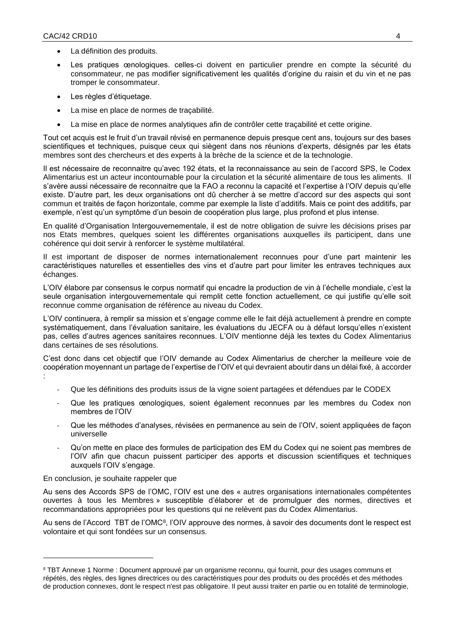- La définition des produits.
- Les pratiques œnologiques. celles-ci doivent en particulier prendre en compte la sécurité du consommateur, ne pas modifier significativement les qualités d'origine du raisin et du vin et ne pas tromper le consommateur.
- Les règles d'étiquetage.
- La mise en place de normes de traçabilité.
- La mise en place de normes analytiques afin de contrôler cette traçabilité et cette origine.

Tout cet acquis est le fruit d'un travail révisé en permanence depuis presque cent ans, toujours sur des bases scientifiques et techniques, puisque ceux qui siègent dans nos réunions d'experts, désignés par les états membres sont des chercheurs et des experts à la brèche de la science et de la technologie.

Il est nécessaire de reconnaitre qu'avec 192 états, et la reconnaissance au sein de l'accord SPS, le Codex Alimentarius est un acteur incontournable pour la circulation et la sécurité alimentaire de tous les aliments. Il s'avère aussi nécessaire de reconnaitre que la FAO a reconnu la capacité et l'expertise à l'OIV depuis qu'elle existe. D'autre part, les deux organisations ont dû chercher à se mettre d'accord sur des aspects qui sont commun et traités de façon horizontale, comme par exemple la liste d'additifs. Mais ce point des additifs, par exemple, n'est qu'un symptôme d'un besoin de coopération plus large, plus profond et plus intense.

En qualité d'Organisation Intergouvernementale, il est de notre obligation de suivre les décisions prises par nos Etats membres, quelques soient les différentes organisations auxquelles ils participent, dans une cohérence qui doit servir à renforcer le système multilatéral.

Il est important de disposer de normes internationalement reconnues pour d'une part maintenir les caractéristiques naturelles et essentielles des vins et d'autre part pour limiter les entraves techniques aux échanges.

L'OIV élabore par consensus le corpus normatif qui encadre la production de vin à l'échelle mondiale, c'est la seule organisation intergouvernementale qui remplit cette fonction actuellement, ce qui justifie qu'elle soit reconnue comme organisation de référence au niveau du Codex.

L'OIV continuera, à remplir sa mission et s'engage comme elle le fait déjà actuellement à prendre en compte systématiquement, dans l'évaluation sanitaire, les évaluations du JECFA ou à défaut lorsqu'elles n'existent pas, celles d'autres agences sanitaires reconnues. L'OIV mentionne déjà les textes du Codex Alimentarius dans certaines de ses résolutions.

C'est donc dans cet objectif que l'OIV demande au Codex Alimentarius de chercher la meilleure voie de coopération moyennant un partage de l'expertise de l'OIV et qui devraient aboutir dans un délai fixé, à accorder :

- Que les définitions des produits issus de la vigne soient partagées et défendues par le CODEX
- Que les pratiques œnologiques, soient également reconnues par les membres du Codex non membres de l'OIV
- Que les méthodes d'analyses, révisées en permanence au sein de l'OIV, soient appliquées de façon universelle
- Qu'on mette en place des formules de participation des EM du Codex qui ne soient pas membres de l'OIV afin que chacun puissent participer des apports et discussion scientifiques et techniques auxquels l'OIV s'engage.

En conclusion, je souhaite rappeler que

-

Au sens des Accords SPS de l'OMC, l'OIV est une des « autres organisations internationales compétentes ouvertes à tous les Membres » susceptible d'élaborer et de promulguer des normes, directives et recommandations appropriées pour les questions qui ne relèvent pas du Codex Alimentarius.

Au sens de l'Accord TBT de l'OMC<sup>8</sup>, l'OIV approuve des normes, à savoir des documents dont le respect est volontaire et qui sont fondées sur un consensus.

<sup>8</sup> TBT Annexe 1 Norme : Document approuvé par un organisme reconnu, qui fournit, pour des usages communs et répétés, des règles, des lignes directrices ou des caractéristiques pour des produits ou des procédés et des méthodes de production connexes, dont le respect n'est pas obligatoire. Il peut aussi traiter en partie ou en totalité de terminologie,